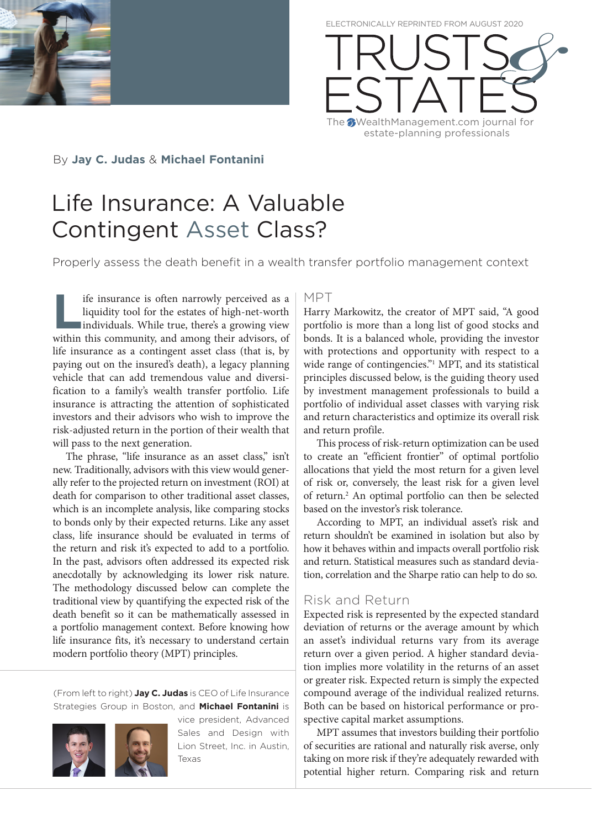

ELECTRONICALLY REPRINTED FROM AUGUST 2020



By **Jay C. Judas** & **Michael Fontanini** 

# Life Insurance: A Valuable Contingent Asset Class?

Properly assess the death benefit in a wealth transfer portfolio management context

**Life insurance is often narrowly perceived as a liquidity tool for the estates of high-net-worth individuals. While true, there's a growing view within this community and among their advisors of** liquidity tool for the estates of high-net-worth individuals. While true, there's a growing view within this community, and among their advisors, of life insurance as a contingent asset class (that is, by paying out on the insured's death), a legacy planning vehicle that can add tremendous value and diversification to a family's wealth transfer portfolio. Life insurance is attracting the attention of sophisticated investors and their advisors who wish to improve the risk-adjusted return in the portion of their wealth that will pass to the next generation.

The phrase, "life insurance as an asset class," isn't new. Traditionally, advisors with this view would generally refer to the projected return on investment (ROI) at death for comparison to other traditional asset classes, which is an incomplete analysis, like comparing stocks to bonds only by their expected returns. Like any asset class, life insurance should be evaluated in terms of the return and risk it's expected to add to a portfolio. In the past, advisors often addressed its expected risk anecdotally by acknowledging its lower risk nature. The methodology discussed below can complete the traditional view by quantifying the expected risk of the death benefit so it can be mathematically assessed in a portfolio management context. Before knowing how life insurance fits, it's necessary to understand certain modern portfolio theory (MPT) principles.

(From left to right) **Jay C. Judas** is CEO of Life Insurance Strategies Group in Boston, and **Michael Fontanini** is



vice president, Advanced Sales and Design with Lion Street, Inc. in Austin, Texas

#### MPT

Harry Markowitz, the creator of MPT said, "A good portfolio is more than a long list of good stocks and bonds. It is a balanced whole, providing the investor with protections and opportunity with respect to a wide range of contingencies."<sup>1</sup> MPT, and its statistical principles discussed below, is the guiding theory used by investment management professionals to build a portfolio of individual asset classes with varying risk and return characteristics and optimize its overall risk and return profile.

This process of risk-return optimization can be used to create an "efficient frontier" of optimal portfolio allocations that yield the most return for a given level of risk or, conversely, the least risk for a given level of return.<sup>2</sup> An optimal portfolio can then be selected based on the investor's risk tolerance.

According to MPT, an individual asset's risk and return shouldn't be examined in isolation but also by how it behaves within and impacts overall portfolio risk and return. Statistical measures such as standard deviation, correlation and the Sharpe ratio can help to do so.

# Risk and Return

Expected risk is represented by the expected standard deviation of returns or the average amount by which an asset's individual returns vary from its average return over a given period. A higher standard deviation implies more volatility in the returns of an asset or greater risk. Expected return is simply the expected compound average of the individual realized returns. Both can be based on historical performance or prospective capital market assumptions.

MPT assumes that investors building their portfolio of securities are rational and naturally risk averse, only taking on more risk if they're adequately rewarded with potential higher return. Comparing risk and return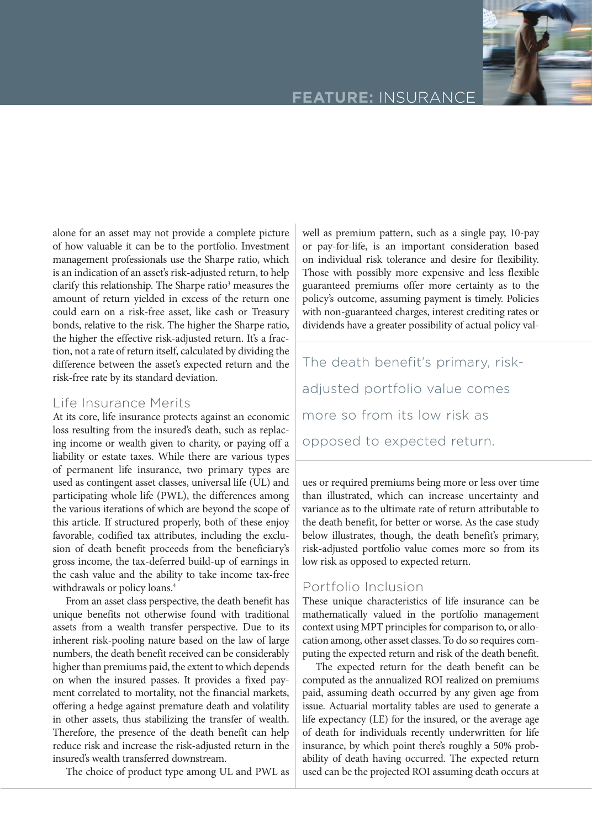# **FEATURE:** INSURANCE

alone for an asset may not provide a complete picture of how valuable it can be to the portfolio. Investment management professionals use the Sharpe ratio, which is an indication of an asset's risk-adjusted return, to help clarify this relationship. The Sharpe ratio<sup>3</sup> measures the amount of return yielded in excess of the return one could earn on a risk-free asset, like cash or Treasury bonds, relative to the risk. The higher the Sharpe ratio, the higher the effective risk-adjusted return. It's a fraction, not a rate of return itself, calculated by dividing the difference between the asset's expected return and the risk-free rate by its standard deviation.

#### Life Insurance Merits

At its core, life insurance protects against an economic loss resulting from the insured's death, such as replacing income or wealth given to charity, or paying off a liability or estate taxes. While there are various types of permanent life insurance, two primary types are used as contingent asset classes, universal life (UL) and participating whole life (PWL), the differences among the various iterations of which are beyond the scope of this article. If structured properly, both of these enjoy favorable, codified tax attributes, including the exclusion of death benefit proceeds from the beneficiary's gross income, the tax-deferred build-up of earnings in the cash value and the ability to take income tax-free withdrawals or policy loans.<sup>4</sup>

From an asset class perspective, the death benefit has unique benefits not otherwise found with traditional assets from a wealth transfer perspective. Due to its inherent risk-pooling nature based on the law of large numbers, the death benefit received can be considerably higher than premiums paid, the extent to which depends on when the insured passes. It provides a fixed payment correlated to mortality, not the financial markets, offering a hedge against premature death and volatility in other assets, thus stabilizing the transfer of wealth. Therefore, the presence of the death benefit can help reduce risk and increase the risk-adjusted return in the insured's wealth transferred downstream.

The choice of product type among UL and PWL as

well as premium pattern, such as a single pay, 10-pay or pay-for-life, is an important consideration based on individual risk tolerance and desire for flexibility. Those with possibly more expensive and less flexible guaranteed premiums offer more certainty as to the policy's outcome, assuming payment is timely. Policies with non-guaranteed charges, interest crediting rates or dividends have a greater possibility of actual policy val-

The death benefit's primary, riskadjusted portfolio value comes more so from its low risk as opposed to expected return.

ues or required premiums being more or less over time than illustrated, which can increase uncertainty and variance as to the ultimate rate of return attributable to the death benefit, for better or worse. As the case study below illustrates, though, the death benefit's primary, risk-adjusted portfolio value comes more so from its low risk as opposed to expected return.

# Portfolio Inclusion

These unique characteristics of life insurance can be mathematically valued in the portfolio management context using MPT principles for comparison to, or allocation among, other asset classes. To do so requires computing the expected return and risk of the death benefit.

The expected return for the death benefit can be computed as the annualized ROI realized on premiums paid, assuming death occurred by any given age from issue. Actuarial mortality tables are used to generate a life expectancy (LE) for the insured, or the average age of death for individuals recently underwritten for life insurance, by which point there's roughly a 50% probability of death having occurred. The expected return used can be the projected ROI assuming death occurs at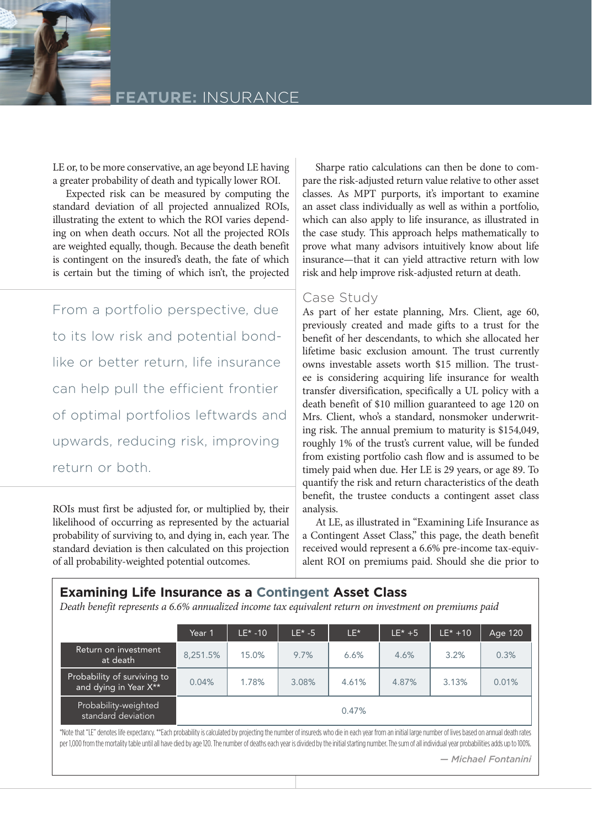

LE or, to be more conservative, an age beyond LE having a greater probability of death and typically lower ROI.

Expected risk can be measured by computing the standard deviation of all projected annualized ROIs, illustrating the extent to which the ROI varies depending on when death occurs. Not all the projected ROIs are weighted equally, though. Because the death benefit is contingent on the insured's death, the fate of which is certain but the timing of which isn't, the projected

From a portfolio perspective, due to its low risk and potential bondlike or better return, life insurance can help pull the efficient frontier of optimal portfolios leftwards and upwards, reducing risk, improving return or both.

ROIs must first be adjusted for, or multiplied by, their likelihood of occurring as represented by the actuarial probability of surviving to, and dying in, each year. The standard deviation is then calculated on this projection of all probability-weighted potential outcomes.

Sharpe ratio calculations can then be done to compare the risk-adjusted return value relative to other asset classes. As MPT purports, it's important to examine an asset class individually as well as within a portfolio, which can also apply to life insurance, as illustrated in the case study. This approach helps mathematically to prove what many advisors intuitively know about life insurance—that it can yield attractive return with low risk and help improve risk-adjusted return at death.

#### Case Study

As part of her estate planning, Mrs. Client, age 60, previously created and made gifts to a trust for the benefit of her descendants, to which she allocated her lifetime basic exclusion amount. The trust currently owns investable assets worth \$15 million. The trustee is considering acquiring life insurance for wealth transfer diversification, specifically a UL policy with a death benefit of \$10 million guaranteed to age 120 on Mrs. Client, who's a standard, nonsmoker underwriting risk. The annual premium to maturity is \$154,049, roughly 1% of the trust's current value, will be funded from existing portfolio cash flow and is assumed to be timely paid when due. Her LE is 29 years, or age 89. To quantify the risk and return characteristics of the death benefit, the trustee conducts a contingent asset class analysis.

At LE, as illustrated in "Examining Life Insurance as a Contingent Asset Class," this page, the death benefit received would represent a 6.6% pre-income tax-equivalent ROI on premiums paid. Should she die prior to

### **Examining Life Insurance as a Contingent Asset Class**

*Death benefit represents a 6.6% annualized income tax equivalent return on investment on premiums paid*

|                                                                                                                                                                                                                                                                                                                                                                                                                     | Year 1   | $IF* -10$ | $IF* -5$ | $LE^*$ | $LE* + 5$ | $LE* + 10$ | Age 120 |  |  |
|---------------------------------------------------------------------------------------------------------------------------------------------------------------------------------------------------------------------------------------------------------------------------------------------------------------------------------------------------------------------------------------------------------------------|----------|-----------|----------|--------|-----------|------------|---------|--|--|
| Return on investment<br>at death                                                                                                                                                                                                                                                                                                                                                                                    | 8.251.5% | 15.0%     | 9.7%     | 6.6%   | 4.6%      | 3.2%       | 0.3%    |  |  |
| Probability of surviving to<br>and dying in Year X**                                                                                                                                                                                                                                                                                                                                                                | 0.04%    | 1.78%     | 3.08%    | 4.61%  | 4.87%     | 3.13%      | 0.01%   |  |  |
| Probability-weighted<br>standard deviation                                                                                                                                                                                                                                                                                                                                                                          | 0.47%    |           |          |        |           |            |         |  |  |
| *Note that "LE" denotes life expectancy. **Each probability is calculated by projecting the number of insureds who die in each year from an initial large number of lives based on annual death rates<br>per 1,000 from the mortality table until all have died by age 120. The number of deaths each year is divided by the initial starting number. The sum of all individual year probabilities adds up to 100%. |          |           |          |        |           |            |         |  |  |
| - Michael Fontanini                                                                                                                                                                                                                                                                                                                                                                                                 |          |           |          |        |           |            |         |  |  |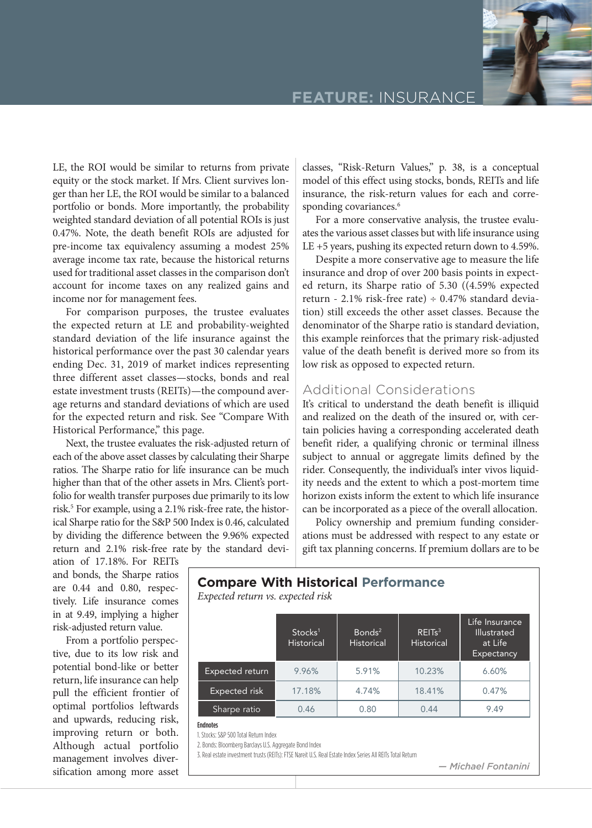

**FEATURE:** INSURANCE

LE, the ROI would be similar to returns from private equity or the stock market. If Mrs. Client survives longer than her LE, the ROI would be similar to a balanced portfolio or bonds. More importantly, the probability weighted standard deviation of all potential ROIs is just 0.47%. Note, the death benefit ROIs are adjusted for pre-income tax equivalency assuming a modest 25% average income tax rate, because the historical returns used for traditional asset classes in the comparison don't account for income taxes on any realized gains and income nor for management fees.

For comparison purposes, the trustee evaluates the expected return at LE and probability-weighted standard deviation of the life insurance against the historical performance over the past 30 calendar years ending Dec. 31, 2019 of market indices representing three different asset classes—stocks, bonds and real estate investment trusts (REITs)—the compound average returns and standard deviations of which are used for the expected return and risk. See "Compare With Historical Performance," this page.

Next, the trustee evaluates the risk-adjusted return of each of the above asset classes by calculating their Sharpe ratios. The Sharpe ratio for life insurance can be much higher than that of the other assets in Mrs. Client's portfolio for wealth transfer purposes due primarily to its low risk.<sup>5</sup> For example, using a 2.1% risk-free rate, the historical Sharpe ratio for the S&P 500 Index is 0.46, calculated by dividing the difference between the 9.96% expected return and 2.1% risk-free rate by the standard deviclasses, "Risk-Return Values," p. 38, is a conceptual model of this effect using stocks, bonds, REITs and life insurance, the risk-return values for each and corresponding covariances.<sup>6</sup>

For a more conservative analysis, the trustee evaluates the various asset classes but with life insurance using LE +5 years, pushing its expected return down to 4.59%.

Despite a more conservative age to measure the life insurance and drop of over 200 basis points in expected return, its Sharpe ratio of 5.30 ((4.59% expected return - 2.1% risk-free rate) ÷ 0.47% standard deviation) still exceeds the other asset classes. Because the denominator of the Sharpe ratio is standard deviation, this example reinforces that the primary risk-adjusted value of the death benefit is derived more so from its low risk as opposed to expected return.

# Additional Considerations

It's critical to understand the death benefit is illiquid and realized on the death of the insured or, with certain policies having a corresponding accelerated death benefit rider, a qualifying chronic or terminal illness subject to annual or aggregate limits defined by the rider. Consequently, the individual's inter vivos liquidity needs and the extent to which a post-mortem time horizon exists inform the extent to which life insurance can be incorporated as a piece of the overall allocation.

Policy ownership and premium funding considerations must be addressed with respect to any estate or gift tax planning concerns. If premium dollars are to be

ation of 17.18%. For REITs and bonds, the Sharpe ratios are 0.44 and 0.80, respectively. Life insurance comes in at 9.49, implying a higher risk-adjusted return value.

From a portfolio perspective, due to its low risk and potential bond-like or better return, life insurance can help pull the efficient frontier of optimal portfolios leftwards and upwards, reducing risk, improving return or both. Although actual portfolio management involves diversification among more asset

#### **Compare With Historical Performance** *Expected return vs. expected risk*

|                      | Stocks <sup>1</sup><br><b>Historical</b> | $B$ onds <sup>2</sup><br><b>Historical</b> | REITs <sup>3</sup><br><b>Historical</b> | Life Insurance<br>Illustrated<br>at Life<br>Expectancy |
|----------------------|------------------------------------------|--------------------------------------------|-----------------------------------------|--------------------------------------------------------|
| Expected return      | 9.96%                                    | 5.91%                                      | 10.23%                                  | 6.60%                                                  |
| <b>Expected risk</b> | 17.18%                                   | 4.74%                                      | 18.41%                                  | 0.47%                                                  |
| Sharpe ratio         | 0.46                                     | 0.80                                       | 0.44                                    | 9.49                                                   |

#### Endnotes

1. Stocks: S&P 500 Total Return Index

2. Bonds: Bloomberg Barclays U.S. Aggregate Bond Index

3. Real estate investment trusts (REITs): FTSE Nareit U.S. Real Estate Index Series All REITs Total Return

*— Michael Fontanini*